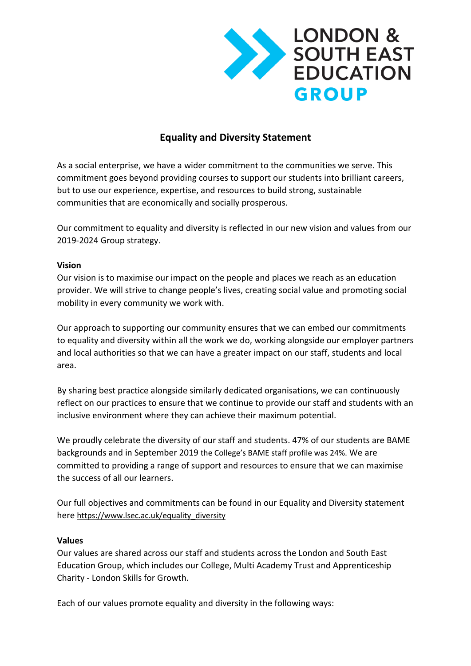

# **Equality and Diversity Statement**

As a social enterprise, we have a wider commitment to the communities we serve. This commitment goes beyond providing courses to support our students into brilliant careers, but to use our experience, expertise, and resources to build strong, sustainable communities that are economically and socially prosperous.

Our commitment to equality and diversity is reflected in our new vision and values from our 2019-2024 Group strategy.

#### **Vision**

Our vision is to maximise our impact on the people and places we reach as an education provider. We will strive to change people's lives, creating social value and promoting social mobility in every community we work with.

Our approach to supporting our community ensures that we can embed our commitments to equality and diversity within all the work we do, working alongside our employer partners and local authorities so that we can have a greater impact on our staff, students and local area.

By sharing best practice alongside similarly dedicated organisations, we can continuously reflect on our practices to ensure that we continue to provide our staff and students with an inclusive environment where they can achieve their maximum potential.

We proudly celebrate the diversity of our staff and students. 47% of our students are BAME backgrounds and in September 2019 the College's BAME staff profile was 24%. We are committed to providing a range of support and resources to ensure that we can maximise the success of all our learners.

Our full objectives and commitments can be found in our Equality and Diversity statement here [https://www.lsec.ac.uk/equality\\_diversity](https://www.lsec.ac.uk/equality_diversity)

#### **Values**

Our values are shared across our staff and students across the London and South East Education Group, which includes our College, Multi Academy Trust and Apprenticeship Charity - London Skills for Growth.

Each of our values promote equality and diversity in the following ways: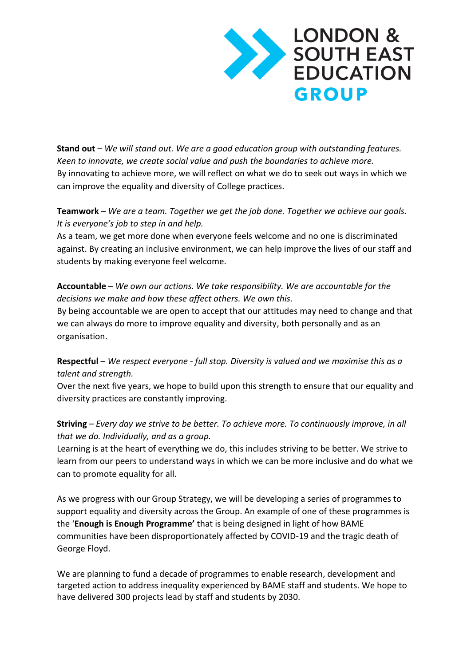

**Stand out** – *We will stand out. We are a good education group with outstanding features. Keen to innovate, we create social value and push the boundaries to achieve more.*  By innovating to achieve more, we will reflect on what we do to seek out ways in which we can improve the equality and diversity of College practices.

### **Teamwork** – *We are a team. Together we get the job done. Together we achieve our goals. It is everyone's job to step in and help.*

As a team, we get more done when everyone feels welcome and no one is discriminated against. By creating an inclusive environment, we can help improve the lives of our staff and students by making everyone feel welcome.

## **Accountable** – *We own our actions. We take responsibility. We are accountable for the decisions we make and how these affect others. We own this.*

By being accountable we are open to accept that our attitudes may need to change and that we can always do more to improve equality and diversity, both personally and as an organisation.

#### **Respectful** – *We respect everyone - full stop. Diversity is valued and we maximise this as a talent and strength.*

Over the next five years, we hope to build upon this strength to ensure that our equality and diversity practices are constantly improving.

## **Striving** – *Every day we strive to be better. To achieve more. To continuously improve, in all that we do. Individually, and as a group.*

Learning is at the heart of everything we do, this includes striving to be better. We strive to learn from our peers to understand ways in which we can be more inclusive and do what we can to promote equality for all.

As we progress with our Group Strategy, we will be developing a series of programmes to support equality and diversity across the Group. An example of one of these programmes is the '**Enough is Enough Programme'** that is being designed in light of how BAME communities have been disproportionately affected by COVID-19 and the tragic death of George Floyd.

We are planning to fund a decade of programmes to enable research, development and targeted action to address inequality experienced by BAME staff and students. We hope to have delivered 300 projects lead by staff and students by 2030.